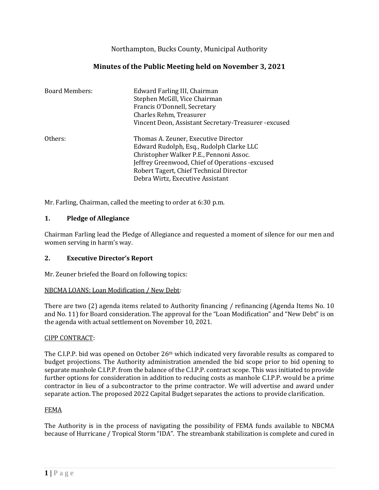Northampton, Bucks County, Municipal Authority

# **Minutes of the Public Meeting held on November 3, 2021**

| <b>Board Members:</b> | Edward Farling III, Chairman<br>Stephen McGill, Vice Chairman<br>Francis O'Donnell, Secretary                                                                                                                                                                  |
|-----------------------|----------------------------------------------------------------------------------------------------------------------------------------------------------------------------------------------------------------------------------------------------------------|
|                       | Charles Rehm, Treasurer                                                                                                                                                                                                                                        |
|                       | Vincent Deon, Assistant Secretary-Treasurer - excused                                                                                                                                                                                                          |
| Others:               | Thomas A. Zeuner, Executive Director<br>Edward Rudolph, Esq., Rudolph Clarke LLC<br>Christopher Walker P.E., Pennoni Assoc.<br>Jeffrey Greenwood, Chief of Operations - excused<br>Robert Tagert, Chief Technical Director<br>Debra Wirtz, Executive Assistant |

Mr. Farling, Chairman, called the meeting to order at 6:30 p.m.

## **1. Pledge of Allegiance**

Chairman Farling lead the Pledge of Allegiance and requested a moment of silence for our men and women serving in harm's way.

## **2. Executive Director's Report**

Mr. Zeuner briefed the Board on following topics:

### NBCMA LOANS: Loan Modification / New Debt:

There are two (2) agenda items related to Authority financing / refinancing (Agenda Items No. 10 and No. 11) for Board consideration. The approval for the "Loan Modification" and "New Debt" is on the agenda with actual settlement on November 10, 2021.

### CIPP CONTRACT:

The C.I.P.P. bid was opened on October 26<sup>th</sup> which indicated very favorable results as compared to budget projections. The Authority administration amended the bid scope prior to bid opening to separate manhole C.I.P.P. from the balance of the C.I.P.P. contract scope. This was initiated to provide further options for consideration in addition to reducing costs as manhole C.I.P.P. would be a prime contractor in lieu of a subcontractor to the prime contractor. We will advertise and award under separate action. The proposed 2022 Capital Budget separates the actions to provide clarification.

### FEMA

The Authority is in the process of navigating the possibility of FEMA funds available to NBCMA because of Hurricane / Tropical Storm "IDA". The streambank stabilization is complete and cured in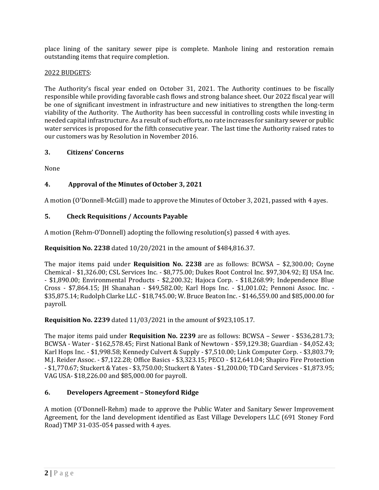place lining of the sanitary sewer pipe is complete. Manhole lining and restoration remain outstanding items that require completion.

## 2022 BUDGETS:

The Authority's fiscal year ended on October 31, 2021. The Authority continues to be fiscally responsible while providing favorable cash flows and strong balance sheet. Our 2022 fiscal year will be one of significant investment in infrastructure and new initiatives to strengthen the long-term viability of the Authority. The Authority has been successful in controlling costs while investing in needed capital infrastructure. As a result of such efforts, no rate increases for sanitary sewer or public water services is proposed for the fifth consecutive year. The last time the Authority raised rates to our customers was by Resolution in November 2016.

## **3. Citizens' Concerns**

None

## **4. Approval of the Minutes of October 3, 2021**

A motion (O'Donnell-McGill) made to approve the Minutes of October 3, 2021, passed with 4 ayes.

## **5. Check Requisitions / Accounts Payable**

A motion (Rehm-O'Donnell) adopting the following resolution(s) passed 4 with ayes.

## **Requisition No. 2238** dated 10/20/2021 in the amount of \$484,816.37.

The major items paid under **Requisition No. 2238** are as follows: BCWSA – \$2,300.00; Coyne Chemical - \$1,326.00; CSL Services Inc. - \$8,775.00; Dukes Root Control Inc. \$97,304.92; EJ USA Inc. - \$1,890.00; Environmental Products - \$2,200.32; Hajoca Corp. - \$18,268.99; Independence Blue Cross - \$7,864.15; JH Shanahan - \$49,582.00; Karl Hops Inc. - \$1,001.02; Pennoni Assoc. Inc. - \$35,875.14; Rudolph Clarke LLC - \$18,745.00; W. Bruce Beaton Inc. - \$146,559.00 and \$85,000.00 for payroll.

**Requisition No. 2239** dated 11/03/2021 in the amount of \$923,105.17.

The major items paid under **Requisition No. 2239** are as follows: BCWSA – Sewer - \$536,281.73; BCWSA - Water - \$162,578.45; First National Bank of Newtown - \$59,129.38; Guardian - \$4,052.43; Karl Hops Inc. - \$1,998.58; Kennedy Culvert & Supply - \$7,510.00; Link Computer Corp. - \$3,803.79; M.J. Reider Assoc. - \$7,122.28; Office Basics - \$3,323.15; PECO - \$12,641.04; Shapiro Fire Protection - \$1,770.67; Stuckert & Yates - \$3,750.00; Stuckert & Yates - \$1,200.00; TD Card Services - \$1,873.95; VAG USA- \$18,226.00 and \$85,000.00 for payroll.

## **6. Developers Agreement – Stoneyford Ridge**

A motion (O'Donnell-Rehm) made to approve the Public Water and Sanitary Sewer Improvement Agreement, for the land development identified as East Village Developers LLC (691 Stoney Ford Road) TMP 31-035-054 passed with 4 ayes.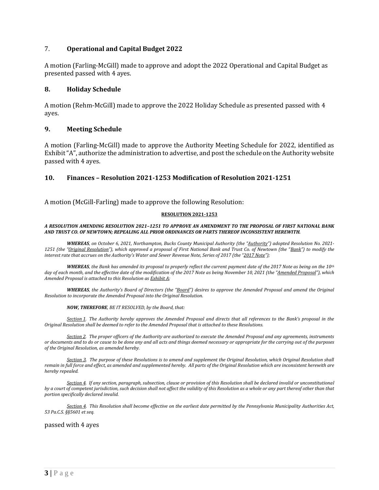### 7. **Operational and Capital Budget 2022**

A motion (Farling-McGill) made to approve and adopt the 2022 Operational and Capital Budget as presented passed with 4 ayes.

### **8. Holiday Schedule**

A motion (Rehm-McGill) made to approve the 2022 Holiday Schedule as presented passed with 4 ayes.

### **9. Meeting Schedule**

A motion (Farling-McGill) made to approve the Authority Meeting Schedule for 2022, identified as Exhibit "A", authorize the administration to advertise, and post the schedule on the Authority website passed with 4 ayes.

### **10. Finances – Resolution 2021-1253 Modification of Resolution 2021-1251**

A motion (McGill-Farling) made to approve the following Resolution:

#### **RESOLUTION 2021-1253**

#### *A RESOLUTION AMENDING RESOLUTION 2021–1251 TO APPROVE AN AMENDMENT TO THE PROPOSAL OF FIRST NATIONAL BANK AND TRUST CO. OF NEWTOWN; REPEALING ALL PRIOR ORDINANCES OR PARTS THEREOF INCONSISTENT HEREWITH.*

*WHEREAS, on October 6, 2021, Northampton, Bucks County Municipal Authority (the "Authority") adopted Resolution No. 2021- 1251 (the "Original Resolution"), which approved a proposal of First National Bank and Trust Co. of Newtown (the "Bank") to modify the interest rate that accrues on the Authority's Water and Sewer Revenue Note, Series of 2017 (the "2017 Note");* 

*WHEREAS, the Bank has amended its proposal to properly reflect the current payment date of the 2017 Note as being on the 10th day of each month, and the effective date of the modification of the 2017 Note as being November 10, 2021 (the "Amended Proposal"), which Amended Proposal is attached to this Resolution as Exhibit A;*

*WHEREAS, the Authority's Board of Directors (the "Board") desires to approve the Amended Proposal and amend the Original Resolution to incorporate the Amended Proposal into the Original Resolution.*

*NOW, THEREFORE, BE IT RESOLVED, by the Board, that:*

*Section 1. The Authority hereby approves the Amended Proposal and directs that all references to the Bank's proposal in the Original Resolution shall be deemed to refer to the Amended Proposal that is attached to these Resolutions.* 

*Section 2. The proper officers of the Authority are authorized to execute the Amended Proposal and any agreements, instruments or documents and to do or cause to be done any and all acts and things deemed necessary or appropriate for the carrying out of the purposes of the Original Resolution, as amended hereby.* 

*Section 3. The purpose of these Resolutions is to amend and supplement the Original Resolution, which Original Resolution shall*  remain in full force and effect, as amended and supplemented hereby. All parts of the Original Resolution which are inconsistent herewith are *hereby repealed.*

*Section 4. If any section, paragraph, subsection, clause or provision of this Resolution shall be declared invalid or unconstitutional by a court of competent jurisdiction, such decision shall not affect the validity of this Resolution as a whole or any part thereof other than that portion specifically declared invalid.*

*Section 4. This Resolution shall become effective on the earliest date permitted by the Pennsylvania Municipality Authorities Act, 53 Pa.C.S. §§5601 et seq.*

passed with 4 ayes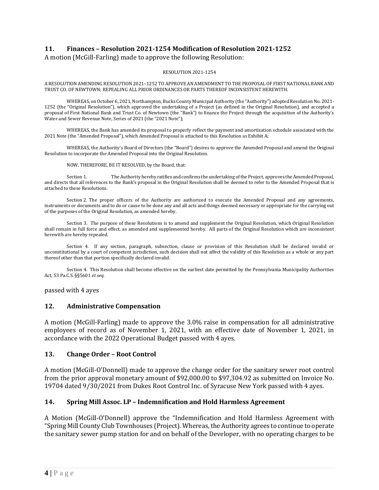## **11. Finances – Resolution 2021-1254 Modification of Resolution 2021-1252**

#### A motion (McGill-Farling) made to approve the following Resolution:

#### RESOLUTION 2021-1254

A RESOLUTION AMENDING RESOLUTION 2021–1252 TO APPROVE AN AMENDMENT TO THE PROPOSAL OF FIRST NATIONAL BANK AND TRUST CO. OF NEWTOWN; REPEALING ALL PRIOR ORDINANCES OR PARTS THEREOF INCONSISTENT HEREWITH.

WHEREAS, on October 6, 2021, Northampton, Bucks County Municipal Authority (the "Authority") adopted Resolution No. 2021- 1252 (the "Original Resolution"), which approved the undertaking of a Project (as defined in the Original Resolution), and accepted a proposal of First National Bank and Trust Co. of Newtown (the "Bank") to finance the Project through the acquisition of the Authority's Water and Sewer Revenue Note, Series of 2021 (the "2021 Note");

WHEREAS, the Bank has amended its proposal to properly reflect the payment and amortization schedule associated with the 2021 Note (the "Amended Proposal"), which Amended Proposal is attached to this Resolution as Exhibit A;

WHEREAS, the Authority's Board of Directors (the "Board") desires to approve the Amended Proposal and amend the Original Resolution to incorporate the Amended Proposal into the Original Resolution.

NOW, THEREFORE, BE IT RESOLVED, by the Board, that:

Section 1. The Authority hereby ratifies and confirms the undertaking of the Project, approves the Amended Proposal, and directs that all references to the Bank's proposal in the Original Resolution shall be deemed to refer to the Amended Proposal that is attached to these Resolutions.

Section 2. The proper officers of the Authority are authorized to execute the Amended Proposal and any agreements, instruments or documents and to do or cause to be done any and all acts and things deemed necessary or appropriate for the carrying out of the purposes of the Original Resolution, as amended hereby.

Section 3. The purpose of these Resolutions is to amend and supplement the Original Resolution, which Original Resolution shall remain in full force and effect, as amended and supplemented hereby. All parts of the Original Resolution which are inconsistent herewith are hereby repealed.

Section 4. If any section, paragraph, subsection, clause or provision of this Resolution shall be declared invalid or unconstitutional by a court of competent jurisdiction, such decision shall not affect the validity of this Resolution as a whole or any part thereof other than that portion specifically declared invalid.

Section 4. This Resolution shall become effective on the earliest date permitted by the Pennsylvania Municipality Authorities Act, 53 Pa.C.S. §§5601 *et seq.*

passed with 4 ayes

#### **12. Administrative Compensation**

A motion (McGill-Farling) made to approve the 3.0% raise in compensation for all administrative employees of record as of November 1, 2021, with an effective date of November 1, 2021, in accordance with the 2022 Operational Budget passed with 4 ayes.

### **13. Change Order – Root Control**

A motion (McGill-O'Donnell) made to approve the change order for the sanitary sewer root control from the prior approval monetary amount of \$92,000.00 to \$97,304.92 as submitted on Invoice No. 19704 dated 9/30/2021 from Dukes Root Control Inc. of Syracuse New York passed with 4 ayes.

### **14. Spring Mill Assoc. LP – Indemnification and Hold Harmless Agreement**

A Motion (McGill-O'Donnell) approve the "Indemnification and Hold Harmless Agreement with "Spring Mill County Club Townhouses (Project). Whereas, the Authority agrees to continue to operate the sanitary sewer pump station for and on behalf of the Developer, with no operating charges to be